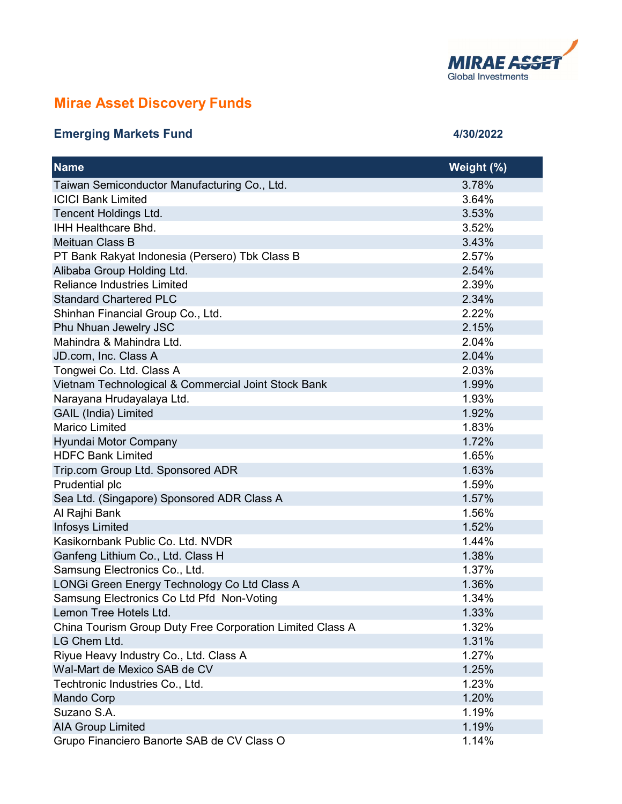

## Mirae Asset Discovery Funds

## Emerging Markets Fund **1999** 2022 2022 2022 2022 2024

| <b>Name</b>                                               | Weight (%) |
|-----------------------------------------------------------|------------|
| Taiwan Semiconductor Manufacturing Co., Ltd.              | 3.78%      |
| <b>ICICI Bank Limited</b>                                 | 3.64%      |
| Tencent Holdings Ltd.                                     | 3.53%      |
| <b>IHH Healthcare Bhd.</b>                                | 3.52%      |
| Meituan Class B                                           | 3.43%      |
| PT Bank Rakyat Indonesia (Persero) Tbk Class B            | 2.57%      |
| Alibaba Group Holding Ltd.                                | 2.54%      |
| <b>Reliance Industries Limited</b>                        | 2.39%      |
| <b>Standard Chartered PLC</b>                             | 2.34%      |
| Shinhan Financial Group Co., Ltd.                         | 2.22%      |
| Phu Nhuan Jewelry JSC                                     | 2.15%      |
| Mahindra & Mahindra Ltd.                                  | 2.04%      |
| JD.com, Inc. Class A                                      | 2.04%      |
| Tongwei Co. Ltd. Class A                                  | 2.03%      |
| Vietnam Technological & Commercial Joint Stock Bank       | 1.99%      |
| Narayana Hrudayalaya Ltd.                                 | 1.93%      |
| <b>GAIL (India) Limited</b>                               | 1.92%      |
| <b>Marico Limited</b>                                     | 1.83%      |
| Hyundai Motor Company                                     | 1.72%      |
| <b>HDFC Bank Limited</b>                                  | 1.65%      |
| Trip.com Group Ltd. Sponsored ADR                         | 1.63%      |
| Prudential plc                                            | 1.59%      |
| Sea Ltd. (Singapore) Sponsored ADR Class A                | 1.57%      |
| Al Rajhi Bank                                             | 1.56%      |
| <b>Infosys Limited</b>                                    | 1.52%      |
| Kasikornbank Public Co. Ltd. NVDR                         | 1.44%      |
| Ganfeng Lithium Co., Ltd. Class H                         | 1.38%      |
| Samsung Electronics Co., Ltd.                             | 1.37%      |
| LONGi Green Energy Technology Co Ltd Class A              | 1.36%      |
| Samsung Electronics Co Ltd Pfd Non-Voting                 | 1.34%      |
| Lemon Tree Hotels Ltd.                                    | 1.33%      |
| China Tourism Group Duty Free Corporation Limited Class A | 1.32%      |
| LG Chem Ltd.                                              | 1.31%      |
| Riyue Heavy Industry Co., Ltd. Class A                    | 1.27%      |
| Wal-Mart de Mexico SAB de CV                              | 1.25%      |
| Techtronic Industries Co., Ltd.                           | 1.23%      |
| <b>Mando Corp</b>                                         | 1.20%      |
| Suzano S.A.                                               | 1.19%      |
| <b>AIA Group Limited</b>                                  | 1.19%      |
| Grupo Financiero Banorte SAB de CV Class O                | 1.14%      |